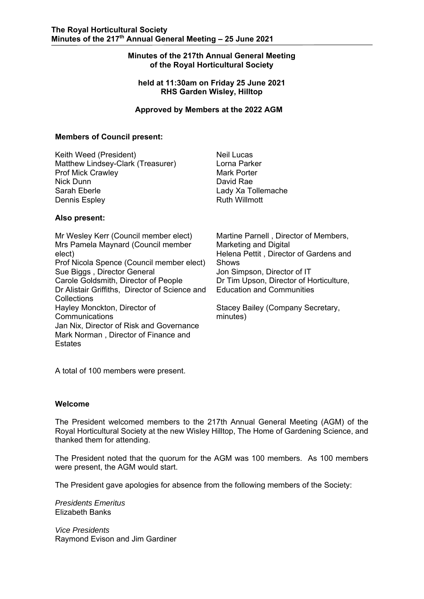# **Minutes of the 217th Annual General Meeting of the Royal Horticultural Society**

## **held at 11:30am on Friday 25 June 2021 RHS Garden Wisley, Hilltop**

### **Approved by Members at the 2022 AGM**

### **Members of Council present:**

Keith Weed (President) Neil Lucas Matthew Lindsey-Clark (Treasurer) Lorna Parker Prof Mick Crawley **Mark Porter** Mark Porter Nick Dunn **David Rae** Sarah Eberle **Lady Xa Tollemache** Dennis Espley **Ruth Willmott** 

## **Also present:**

Mr Wesley Kerr (Council member elect) Mrs Pamela Maynard (Council member elect) Prof Nicola Spence (Council member elect) Sue Biggs , Director General Carole Goldsmith, Director of People Dr Alistair Griffiths, Director of Science and **Collections** Hayley Monckton, Director of **Communications** Jan Nix, Director of Risk and Governance Mark Norman , Director of Finance and Estates

Martine Parnell , Director of Members, Marketing and Digital Helena Pettit , Director of Gardens and **Shows** Jon Simpson, Director of IT Dr Tim Upson, Director of Horticulture, Education and Communities

Stacey Bailey (Company Secretary, minutes)

A total of 100 members were present.

## **Welcome**

The President welcomed members to the 217th Annual General Meeting (AGM) of the Royal Horticultural Society at the new Wisley Hilltop, The Home of Gardening Science, and thanked them for attending.

The President noted that the quorum for the AGM was 100 members. As 100 members were present, the AGM would start.

The President gave apologies for absence from the following members of the Society:

*Presidents Emeritus*  Elizabeth Banks

*Vice Presidents*  Raymond Evison and Jim Gardiner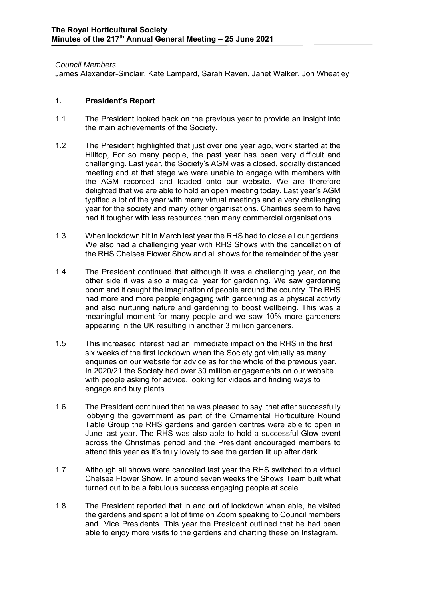### *Council Members*

James Alexander-Sinclair, Kate Lampard, Sarah Raven, Janet Walker, Jon Wheatley

# **1. President's Report**

- 1.1 The President looked back on the previous year to provide an insight into the main achievements of the Society.
- 1.2 The President highlighted that just over one year ago, work started at the Hilltop, For so many people, the past year has been very difficult and challenging. Last year, the Society's AGM was a closed, socially distanced meeting and at that stage we were unable to engage with members with the AGM recorded and loaded onto our website. We are therefore delighted that we are able to hold an open meeting today. Last year's AGM typified a lot of the year with many virtual meetings and a very challenging year for the society and many other organisations. Charities seem to have had it tougher with less resources than many commercial organisations.
- 1.3 When lockdown hit in March last year the RHS had to close all our gardens. We also had a challenging year with RHS Shows with the cancellation of the RHS Chelsea Flower Show and all shows for the remainder of the year.
- 1.4 The President continued that although it was a challenging year, on the other side it was also a magical year for gardening. We saw gardening boom and it caught the imagination of people around the country. The RHS had more and more people engaging with gardening as a physical activity and also nurturing nature and gardening to boost wellbeing. This was a meaningful moment for many people and we saw 10% more gardeners appearing in the UK resulting in another 3 million gardeners.
- 1.5 This increased interest had an immediate impact on the RHS in the first six weeks of the first lockdown when the Society got virtually as many enquiries on our website for advice as for the whole of the previous year. In 2020/21 the Society had over 30 million engagements on our website with people asking for advice, looking for videos and finding ways to engage and buy plants.
- 1.6 The President continued that he was pleased to say that after successfully lobbying the government as part of the Ornamental Horticulture Round Table Group the RHS gardens and garden centres were able to open in June last year. The RHS was also able to hold a successful Glow event across the Christmas period and the President encouraged members to attend this year as it's truly lovely to see the garden lit up after dark.
- 1.7 Although all shows were cancelled last year the RHS switched to a virtual Chelsea Flower Show. In around seven weeks the Shows Team built what turned out to be a fabulous success engaging people at scale.
- 1.8 The President reported that in and out of lockdown when able, he visited the gardens and spent a lot of time on Zoom speaking to Council members and Vice Presidents. This year the President outlined that he had been able to enjoy more visits to the gardens and charting these on Instagram.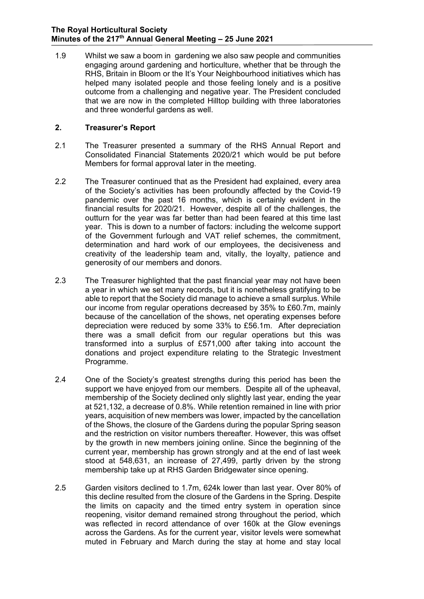1.9 Whilst we saw a boom in gardening we also saw people and communities engaging around gardening and horticulture, whether that be through the RHS, Britain in Bloom or the It's Your Neighbourhood initiatives which has helped many isolated people and those feeling lonely and is a positive outcome from a challenging and negative year. The President concluded that we are now in the completed Hilltop building with three laboratories and three wonderful gardens as well.

## **2. Treasurer's Report**

- 2.1 The Treasurer presented a summary of the RHS Annual Report and Consolidated Financial Statements 2020/21 which would be put before Members for formal approval later in the meeting.
- 2.2 The Treasurer continued that as the President had explained, every area of the Society's activities has been profoundly affected by the Covid-19 pandemic over the past 16 months, which is certainly evident in the financial results for 2020/21. However, despite all of the challenges, the outturn for the year was far better than had been feared at this time last year. This is down to a number of factors: including the welcome support of the Government furlough and VAT relief schemes, the commitment, determination and hard work of our employees, the decisiveness and creativity of the leadership team and, vitally, the loyalty, patience and generosity of our members and donors.
- 2.3 The Treasurer highlighted that the past financial year may not have been a year in which we set many records, but it is nonetheless gratifying to be able to report that the Society did manage to achieve a small surplus. While our income from regular operations decreased by 35% to £60.7m, mainly because of the cancellation of the shows, net operating expenses before depreciation were reduced by some 33% to £56.1m. After depreciation there was a small deficit from our regular operations but this was transformed into a surplus of £571,000 after taking into account the donations and project expenditure relating to the Strategic Investment Programme.
- 2.4 One of the Society's greatest strengths during this period has been the support we have enjoyed from our members. Despite all of the upheaval, membership of the Society declined only slightly last year, ending the year at 521,132, a decrease of 0.8%. While retention remained in line with prior years, acquisition of new members was lower, impacted by the cancellation of the Shows, the closure of the Gardens during the popular Spring season and the restriction on visitor numbers thereafter. However, this was offset by the growth in new members joining online. Since the beginning of the current year, membership has grown strongly and at the end of last week stood at 548,631, an increase of 27,499, partly driven by the strong membership take up at RHS Garden Bridgewater since opening.
- 2.5 Garden visitors declined to 1.7m, 624k lower than last year. Over 80% of this decline resulted from the closure of the Gardens in the Spring. Despite the limits on capacity and the timed entry system in operation since reopening, visitor demand remained strong throughout the period, which was reflected in record attendance of over 160k at the Glow evenings across the Gardens. As for the current year, visitor levels were somewhat muted in February and March during the stay at home and stay local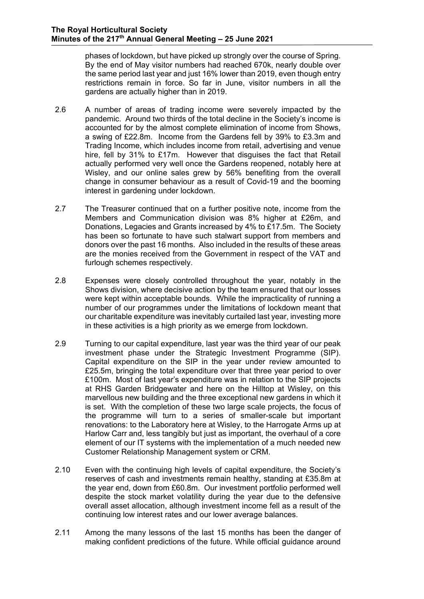phases of lockdown, but have picked up strongly over the course of Spring. By the end of May visitor numbers had reached 670k, nearly double over the same period last year and just 16% lower than 2019, even though entry restrictions remain in force. So far in June, visitor numbers in all the gardens are actually higher than in 2019.

- 2.6 A number of areas of trading income were severely impacted by the pandemic. Around two thirds of the total decline in the Society's income is accounted for by the almost complete elimination of income from Shows, a swing of £22.8m. Income from the Gardens fell by 39% to £3.3m and Trading Income, which includes income from retail, advertising and venue hire, fell by 31% to £17m. However that disguises the fact that Retail actually performed very well once the Gardens reopened, notably here at Wisley, and our online sales grew by 56% benefiting from the overall change in consumer behaviour as a result of Covid-19 and the booming interest in gardening under lockdown.
- 2.7 The Treasurer continued that on a further positive note, income from the Members and Communication division was 8% higher at £26m, and Donations, Legacies and Grants increased by 4% to £17.5m. The Society has been so fortunate to have such stalwart support from members and donors over the past 16 months. Also included in the results of these areas are the monies received from the Government in respect of the VAT and furlough schemes respectively.
- 2.8 Expenses were closely controlled throughout the year, notably in the Shows division, where decisive action by the team ensured that our losses were kept within acceptable bounds. While the impracticality of running a number of our programmes under the limitations of lockdown meant that our charitable expenditure was inevitably curtailed last year, investing more in these activities is a high priority as we emerge from lockdown.
- 2.9 Turning to our capital expenditure, last year was the third year of our peak investment phase under the Strategic Investment Programme (SIP). Capital expenditure on the SIP in the year under review amounted to £25.5m, bringing the total expenditure over that three year period to over £100m. Most of last year's expenditure was in relation to the SIP projects at RHS Garden Bridgewater and here on the Hilltop at Wisley, on this marvellous new building and the three exceptional new gardens in which it is set. With the completion of these two large scale projects, the focus of the programme will turn to a series of smaller-scale but important renovations: to the Laboratory here at Wisley, to the Harrogate Arms up at Harlow Carr and, less tangibly but just as important, the overhaul of a core element of our IT systems with the implementation of a much needed new Customer Relationship Management system or CRM.
- 2.10 Even with the continuing high levels of capital expenditure, the Society's reserves of cash and investments remain healthy, standing at £35.8m at the year end, down from £60.8m. Our investment portfolio performed well despite the stock market volatility during the year due to the defensive overall asset allocation, although investment income fell as a result of the continuing low interest rates and our lower average balances.
- 2.11 Among the many lessons of the last 15 months has been the danger of making confident predictions of the future. While official guidance around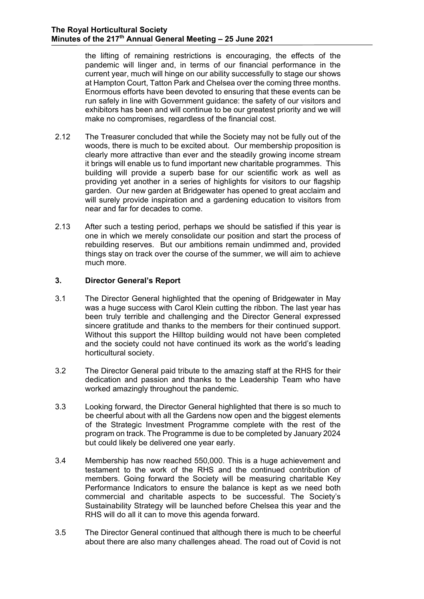the lifting of remaining restrictions is encouraging, the effects of the pandemic will linger and, in terms of our financial performance in the current year, much will hinge on our ability successfully to stage our shows at Hampton Court, Tatton Park and Chelsea over the coming three months. Enormous efforts have been devoted to ensuring that these events can be run safely in line with Government guidance: the safety of our visitors and exhibitors has been and will continue to be our greatest priority and we will make no compromises, regardless of the financial cost.

- 2.12 The Treasurer concluded that while the Society may not be fully out of the woods, there is much to be excited about. Our membership proposition is clearly more attractive than ever and the steadily growing income stream it brings will enable us to fund important new charitable programmes. This building will provide a superb base for our scientific work as well as providing yet another in a series of highlights for visitors to our flagship garden. Our new garden at Bridgewater has opened to great acclaim and will surely provide inspiration and a gardening education to visitors from near and far for decades to come.
- 2.13 After such a testing period, perhaps we should be satisfied if this year is one in which we merely consolidate our position and start the process of rebuilding reserves. But our ambitions remain undimmed and, provided things stay on track over the course of the summer, we will aim to achieve much more.

# **3. Director General's Report**

- 3.1 The Director General highlighted that the opening of Bridgewater in May was a huge success with Carol Klein cutting the ribbon. The last year has been truly terrible and challenging and the Director General expressed sincere gratitude and thanks to the members for their continued support. Without this support the Hilltop building would not have been completed and the society could not have continued its work as the world's leading horticultural society.
- 3.2 The Director General paid tribute to the amazing staff at the RHS for their dedication and passion and thanks to the Leadership Team who have worked amazingly throughout the pandemic.
- 3.3 Looking forward, the Director General highlighted that there is so much to be cheerful about with all the Gardens now open and the biggest elements of the Strategic Investment Programme complete with the rest of the program on track. The Programme is due to be completed by January 2024 but could likely be delivered one year early.
- 3.4 Membership has now reached 550,000. This is a huge achievement and testament to the work of the RHS and the continued contribution of members. Going forward the Society will be measuring charitable Key Performance Indicators to ensure the balance is kept as we need both commercial and charitable aspects to be successful. The Society's Sustainability Strategy will be launched before Chelsea this year and the RHS will do all it can to move this agenda forward.
- 3.5 The Director General continued that although there is much to be cheerful about there are also many challenges ahead. The road out of Covid is not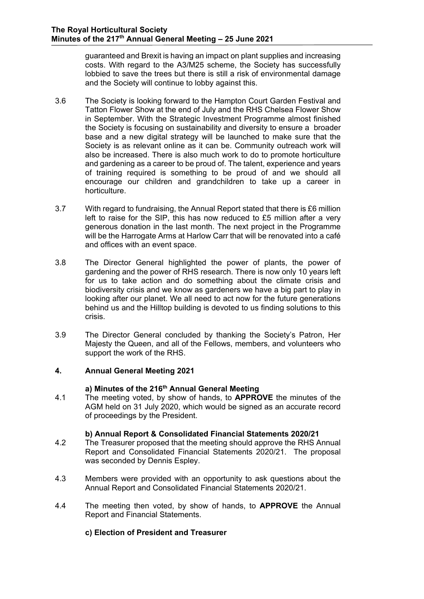guaranteed and Brexit is having an impact on plant supplies and increasing costs. With regard to the A3/M25 scheme, the Society has successfully lobbied to save the trees but there is still a risk of environmental damage and the Society will continue to lobby against this.

- 3.6 The Society is looking forward to the Hampton Court Garden Festival and Tatton Flower Show at the end of July and the RHS Chelsea Flower Show in September. With the Strategic Investment Programme almost finished the Society is focusing on sustainability and diversity to ensure a broader base and a new digital strategy will be launched to make sure that the Society is as relevant online as it can be. Community outreach work will also be increased. There is also much work to do to promote horticulture and gardening as a career to be proud of. The talent, experience and years of training required is something to be proud of and we should all encourage our children and grandchildren to take up a career in horticulture.
- 3.7 With regard to fundraising, the Annual Report stated that there is £6 million left to raise for the SIP, this has now reduced to £5 million after a very generous donation in the last month. The next project in the Programme will be the Harrogate Arms at Harlow Carr that will be renovated into a café and offices with an event space.
- 3.8 The Director General highlighted the power of plants, the power of gardening and the power of RHS research. There is now only 10 years left for us to take action and do something about the climate crisis and biodiversity crisis and we know as gardeners we have a big part to play in looking after our planet. We all need to act now for the future generations behind us and the Hilltop building is devoted to us finding solutions to this crisis.
- 3.9 The Director General concluded by thanking the Society's Patron, Her Majesty the Queen, and all of the Fellows, members, and volunteers who support the work of the RHS.

# **4. Annual General Meeting 2021**

## **a) Minutes of the 216th Annual General Meeting**

4.1 The meeting voted, by show of hands, to **APPROVE** the minutes of the AGM held on 31 July 2020, which would be signed as an accurate record of proceedings by the President.

### **b) Annual Report & Consolidated Financial Statements 2020/21**

- 4.2 The Treasurer proposed that the meeting should approve the RHS Annual Report and Consolidated Financial Statements 2020/21. The proposal was seconded by Dennis Espley.
- 4.3 Members were provided with an opportunity to ask questions about the Annual Report and Consolidated Financial Statements 2020/21.
- 4.4 The meeting then voted, by show of hands, to **APPROVE** the Annual Report and Financial Statements.

# **c) Election of President and Treasurer**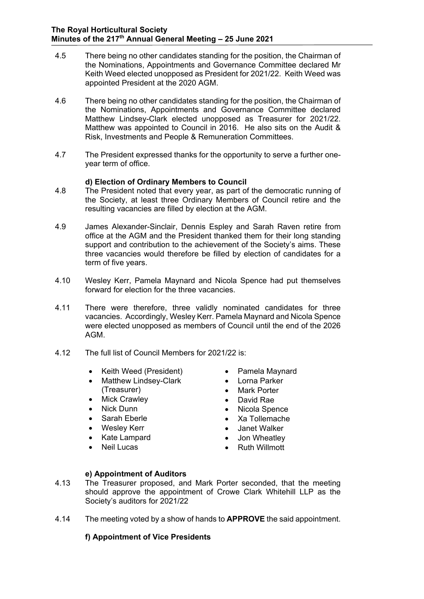- 4.5 There being no other candidates standing for the position, the Chairman of the Nominations, Appointments and Governance Committee declared Mr Keith Weed elected unopposed as President for 2021/22. Keith Weed was appointed President at the 2020 AGM.
- 4.6 There being no other candidates standing for the position, the Chairman of the Nominations, Appointments and Governance Committee declared Matthew Lindsey-Clark elected unopposed as Treasurer for 2021/22. Matthew was appointed to Council in 2016. He also sits on the Audit & Risk, Investments and People & Remuneration Committees.
- 4.7 The President expressed thanks for the opportunity to serve a further oneyear term of office.

# **d) Election of Ordinary Members to Council**

- 4.8 The President noted that every year, as part of the democratic running of the Society, at least three Ordinary Members of Council retire and the resulting vacancies are filled by election at the AGM.
- 4.9 James Alexander-Sinclair, Dennis Espley and Sarah Raven retire from office at the AGM and the President thanked them for their long standing support and contribution to the achievement of the Society's aims. These three vacancies would therefore be filled by election of candidates for a term of five years.
- 4.10 Wesley Kerr, Pamela Maynard and Nicola Spence had put themselves forward for election for the three vacancies.
- 4.11 There were therefore, three validly nominated candidates for three vacancies. Accordingly, Wesley Kerr. Pamela Maynard and Nicola Spence were elected unopposed as members of Council until the end of the 2026 AGM.
- 4.12 The full list of Council Members for 2021/22 is:
	- Keith Weed (President)
	- Matthew Lindsey-Clark (Treasurer)
	- Mick Crawley
	- Nick Dunn
	- Sarah Eberle
	- Wesley Kerr
	- Kate Lampard
	- Neil Lucas
- Pamela Maynard
- Lorna Parker
- Mark Porter
- David Rae
- Nicola Spence
- Xa Tollemache
- Janet Walker
- Jon Wheatley
- Ruth Willmott

# **e) Appointment of Auditors**

- 4.13 The Treasurer proposed, and Mark Porter seconded, that the meeting should approve the appointment of Crowe Clark Whitehill LLP as the Society's auditors for 2021/22
- 4.14 The meeting voted by a show of hands to **APPROVE** the said appointment.

# **f) Appointment of Vice Presidents**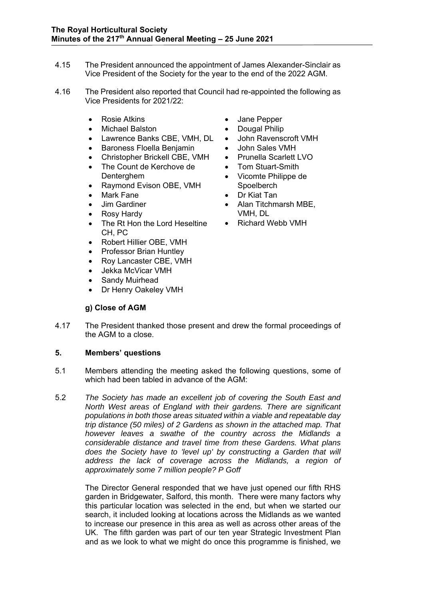- 4.15 The President announced the appointment of James Alexander-Sinclair as Vice President of the Society for the year to the end of the 2022 AGM.
- 4.16 The President also reported that Council had re-appointed the following as Vice Presidents for 2021/22:
	- Rosie Atkins
	- Michael Balston
	- Lawrence Banks CBE, VMH, DL
	- Baroness Floella Benjamin
	- Christopher Brickell CBE, VMH
	- The Count de Kerchove de Denterghem
	- Raymond Evison OBE, VMH
	- Mark Fane
	- Jim Gardiner
	- Rosy Hardy
	- The Rt Hon the Lord Heseltine CH, PC
	- Robert Hillier OBE, VMH
	- Professor Brian Huntley
	- Roy Lancaster CBE, VMH
	- Jekka McVicar VMH
	- Sandy Muirhead
	- Dr Henry Oakeley VMH

# **g) Close of AGM**

- Jane Pepper
- Dougal Philip
- John Ravenscroft VMH
- John Sales VMH
- Prunella Scarlett LVO
- Tom Stuart-Smith
- Vicomte Philippe de **Spoelberch**
- Dr Kiat Tan
- Alan Titchmarsh MBE, VMH, DL
- Richard Webb VMH

4.17 The President thanked those present and drew the formal proceedings of the AGM to a close.

### **5. Members' questions**

- 5.1 Members attending the meeting asked the following questions, some of which had been tabled in advance of the AGM:
- 5.2 *The Society has made an excellent job of covering the South East and North West areas of England with their gardens. There are significant populations in both those areas situated within a viable and repeatable day trip distance (50 miles) of 2 Gardens as shown in the attached map. That however leaves a swathe of the country across the Midlands a considerable distance and travel time from these Gardens. What plans does the Society have to 'level up' by constructing a Garden that will address the lack of coverage across the Midlands, a region of approximately some 7 million people? P Goff*

 The Director General responded that we have just opened our fifth RHS garden in Bridgewater, Salford, this month. There were many factors why this particular location was selected in the end, but when we started our search, it included looking at locations across the Midlands as we wanted to increase our presence in this area as well as across other areas of the UK. The fifth garden was part of our ten year Strategic Investment Plan and as we look to what we might do once this programme is finished, we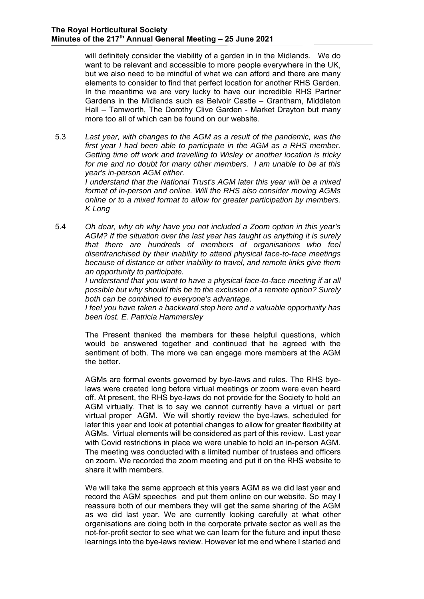will definitely consider the viability of a garden in in the Midlands. We do want to be relevant and accessible to more people everywhere in the UK, but we also need to be mindful of what we can afford and there are many elements to consider to find that perfect location for another RHS Garden. In the meantime we are very lucky to have our incredible RHS Partner Gardens in the Midlands such as Belvoir Castle – Grantham, Middleton Hall – Tamworth, The Dorothy Clive Garden - Market Drayton but many more too all of which can be found on our website.

5.3 *Last year, with changes to the AGM as a result of the pandemic, was the first year I had been able to participate in the AGM as a RHS member. Getting time off work and travelling to Wisley or another location is tricky for me and no doubt for many other members. I am unable to be at this year's in-person AGM either.* 

> *I understand that the National Trust's AGM later this year will be a mixed format of in-person and online. Will the RHS also consider moving AGMs online or to a mixed format to allow for greater participation by members. K Long*

5.4 *Oh dear, why oh why have you not included a Zoom option in this year's AGM? If the situation over the last year has taught us anything it is surely that there are hundreds of members of organisations who feel disenfranchised by their inability to attend physical face-to-face meetings because of distance or other inability to travel, and remote links give them an opportunity to participate.* 

> *I understand that you want to have a physical face-to-face meeting if at all possible but why should this be to the exclusion of a remote option? Surely both can be combined to everyone's advantage.*

> *I feel you have taken a backward step here and a valuable opportunity has been lost. E. Patricia Hammersley*

> The Present thanked the members for these helpful questions, which would be answered together and continued that he agreed with the sentiment of both. The more we can engage more members at the AGM the better.

> AGMs are formal events governed by bye-laws and rules. The RHS byelaws were created long before virtual meetings or zoom were even heard off. At present, the RHS bye-laws do not provide for the Society to hold an AGM virtually. That is to say we cannot currently have a virtual or part virtual proper AGM. We will shortly review the bye-laws, scheduled for later this year and look at potential changes to allow for greater flexibility at AGMs. Virtual elements will be considered as part of this review. Last year with Covid restrictions in place we were unable to hold an in-person AGM. The meeting was conducted with a limited number of trustees and officers on zoom. We recorded the zoom meeting and put it on the RHS website to share it with members.

> We will take the same approach at this years AGM as we did last year and record the AGM speeches and put them online on our website. So may I reassure both of our members they will get the same sharing of the AGM as we did last year. We are currently looking carefully at what other organisations are doing both in the corporate private sector as well as the not-for-profit sector to see what we can learn for the future and input these learnings into the bye-laws review. However let me end where I started and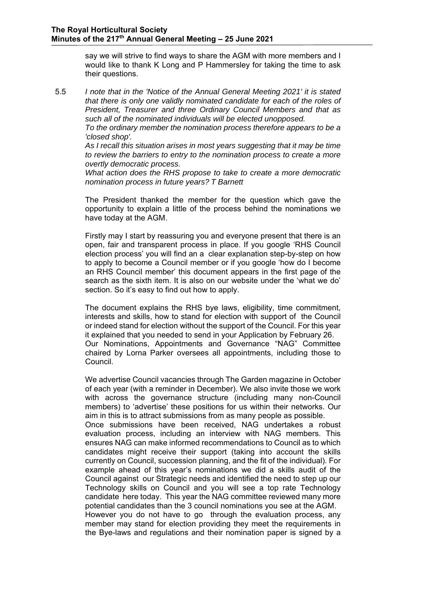say we will strive to find ways to share the AGM with more members and I would like to thank K Long and P Hammersley for taking the time to ask their questions.

5.5 *I note that in the 'Notice of the Annual General Meeting 2021' it is stated that there is only one validly nominated candidate for each of the roles of President, Treasurer and three Ordinary Council Members and that as such all of the nominated individuals will be elected unopposed.* 

*To the ordinary member the nomination process therefore appears to be a 'closed shop'.* 

*As I recall this situation arises in most years suggesting that it may be time to review the barriers to entry to the nomination process to create a more overtly democratic process.* 

*What action does the RHS propose to take to create a more democratic nomination process in future years? T Barnett* 

 The President thanked the member for the question which gave the opportunity to explain a little of the process behind the nominations we have today at the AGM.

Firstly may I start by reassuring you and everyone present that there is an open, fair and transparent process in place. If you google 'RHS Council election process' you will find an a clear explanation step-by-step on how to apply to become a Council member or if you google 'how do I become an RHS Council member' this document appears in the first page of the search as the sixth item. It is also on our website under the 'what we do' section. So it's easy to find out how to apply.

The document explains the RHS bye laws, eligibility, time commitment, interests and skills, how to stand for election with support of the Council or indeed stand for election without the support of the Council. For this year it explained that you needed to send in your Application by February 26. Our Nominations, Appointments and Governance "NAG" Committee chaired by Lorna Parker oversees all appointments, including those to Council.

We advertise Council vacancies through The Garden magazine in October of each year (with a reminder in December). We also invite those we work with across the governance structure (including many non-Council members) to 'advertise' these positions for us within their networks. Our aim in this is to attract submissions from as many people as possible.

Once submissions have been received, NAG undertakes a robust evaluation process, including an interview with NAG members. This ensures NAG can make informed recommendations to Council as to which candidates might receive their support (taking into account the skills currently on Council, succession planning, and the fit of the individual). For example ahead of this year's nominations we did a skills audit of the Council against our Strategic needs and identified the need to step up our Technology skills on Council and you will see a top rate Technology candidate here today. This year the NAG committee reviewed many more potential candidates than the 3 council nominations you see at the AGM. However you do not have to go through the evaluation process, any member may stand for election providing they meet the requirements in the Bye-laws and regulations and their nomination paper is signed by a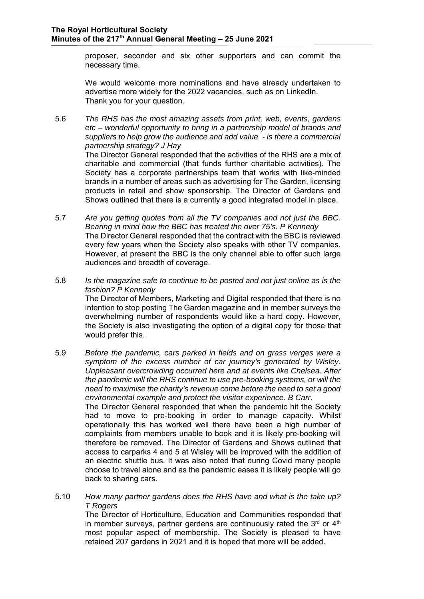proposer, seconder and six other supporters and can commit the necessary time.

We would welcome more nominations and have already undertaken to advertise more widely for the 2022 vacancies, such as on LinkedIn. Thank you for your question.

5.6 *The RHS has the most amazing assets from print, web, events, gardens etc – wonderful opportunity to bring in a partnership model of brands and suppliers to help grow the audience and add value - is there a commercial partnership strategy? J Hay* 

> The Director General responded that the activities of the RHS are a mix of charitable and commercial (that funds further charitable activities). The Society has a corporate partnerships team that works with like-minded brands in a number of areas such as advertising for The Garden, licensing products in retail and show sponsorship. The Director of Gardens and Shows outlined that there is a currently a good integrated model in place.

- 5.7 *Are you getting quotes from all the TV companies and not just the BBC. Bearing in mind how the BBC has treated the over 75's. P Kennedy*  The Director General responded that the contract with the BBC is reviewed every few years when the Society also speaks with other TV companies. However, at present the BBC is the only channel able to offer such large audiences and breadth of coverage.
- 5.8 *Is the magazine safe to continue to be posted and not just online as is the fashion? P Kennedy*  The Director of Members, Marketing and Digital responded that there is no intention to stop posting The Garden magazine and in member surveys the overwhelming number of respondents would like a hard copy. However, the Society is also investigating the option of a digital copy for those that would prefer this.
- 5.9 *Before the pandemic, cars parked in fields and on grass verges were a symptom of the excess number of car journey's generated by Wisley. Unpleasant overcrowding occurred here and at events like Chelsea. After the pandemic will the RHS continue to use pre-booking systems, or will the need to maximise the charity's revenue come before the need to set a good environmental example and protect the visitor experience. B Carr.*  The Director General responded that when the pandemic hit the Society had to move to pre-booking in order to manage capacity. Whilst operationally this has worked well there have been a high number of complaints from members unable to book and it is likely pre-booking will therefore be removed. The Director of Gardens and Shows outlined that access to carparks 4 and 5 at Wisley will be improved with the addition of an electric shuttle bus. It was also noted that during Covid many people choose to travel alone and as the pandemic eases it is likely people will go back to sharing cars.
- 5.10 *How many partner gardens does the RHS have and what is the take up? T Rogers*

 The Director of Horticulture, Education and Communities responded that in member surveys, partner gardens are continuously rated the  $3<sup>rd</sup>$  or  $4<sup>th</sup>$ most popular aspect of membership. The Society is pleased to have retained 207 gardens in 2021 and it is hoped that more will be added.